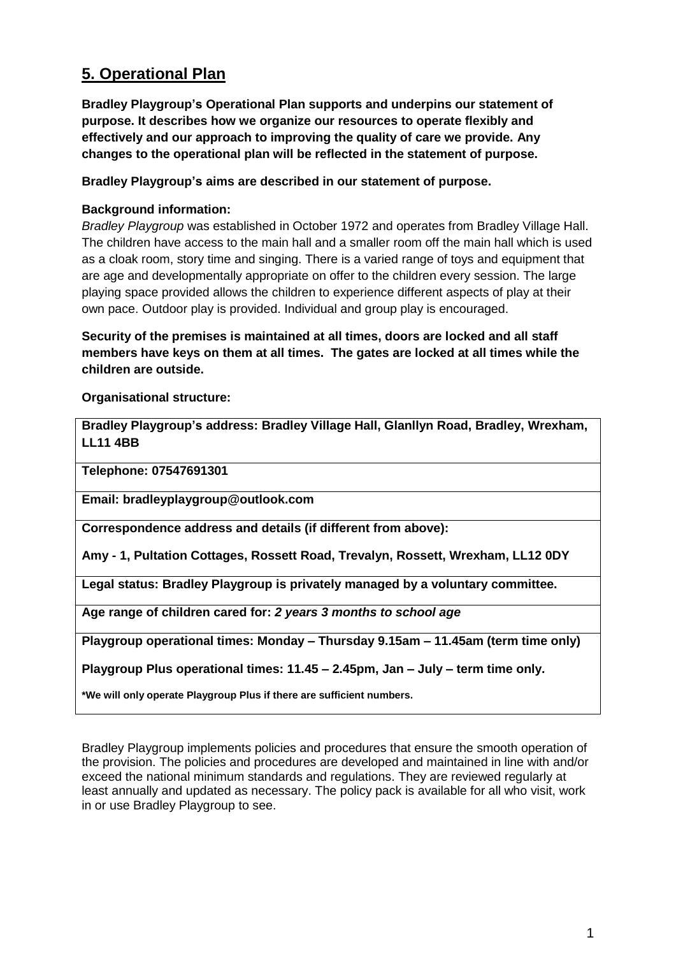# **5. Operational Plan**

**Bradley Playgroup's Operational Plan supports and underpins our statement of purpose. It describes how we organize our resources to operate flexibly and effectively and our approach to improving the quality of care we provide. Any changes to the operational plan will be reflected in the statement of purpose.**

**Bradley Playgroup's aims are described in our statement of purpose.** 

# **Background information:**

*Bradley Playgroup* was established in October 1972 and operates from Bradley Village Hall. The children have access to the main hall and a smaller room off the main hall which is used as a cloak room, story time and singing. There is a varied range of toys and equipment that are age and developmentally appropriate on offer to the children every session. The large playing space provided allows the children to experience different aspects of play at their own pace. Outdoor play is provided. Individual and group play is encouraged.

**Security of the premises is maintained at all times, doors are locked and all staff members have keys on them at all times. The gates are locked at all times while the children are outside.** 

**Organisational structure:**

**Bradley Playgroup's address: Bradley Village Hall, Glanllyn Road, Bradley, Wrexham, LL11 4BB**

**Telephone: 07547691301**

**Email: bradleyplaygroup@outlook.com**

**Correspondence address and details (if different from above):**

**Amy - 1, Pultation Cottages, Rossett Road, Trevalyn, Rossett, Wrexham, LL12 0DY**

**Legal status: Bradley Playgroup is privately managed by a voluntary committee.**

**Age range of children cared for:** *2 years 3 months to school age*

**Playgroup operational times: Monday – Thursday 9.15am – 11.45am (term time only)**

**Playgroup Plus operational times: 11.45 – 2.45pm, Jan – July – term time only.**

**\*We will only operate Playgroup Plus if there are sufficient numbers.**

Bradley Playgroup implements policies and procedures that ensure the smooth operation of the provision. The policies and procedures are developed and maintained in line with and/or exceed the national minimum standards and regulations. They are reviewed regularly at least annually and updated as necessary. The policy pack is available for all who visit, work in or use Bradley Playgroup to see.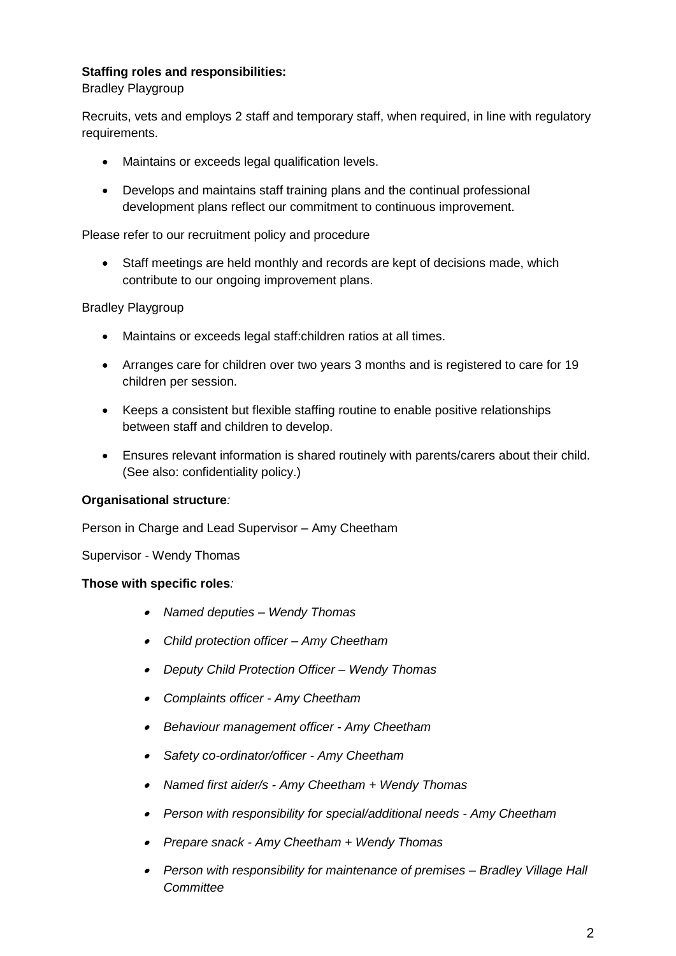# **Staffing roles and responsibilities:**

Bradley Playgroup

Recruits, vets and employs 2 *s*taff and temporary staff, when required, in line with regulatory requirements.

- Maintains or exceeds legal qualification levels.
- Develops and maintains staff training plans and the continual professional development plans reflect our commitment to continuous improvement.

## Please refer to our recruitment policy and procedure

• Staff meetings are held monthly and records are kept of decisions made, which contribute to our ongoing improvement plans.

## Bradley Playgroup

- Maintains or exceeds legal staff:children ratios at all times.
- Arranges care for children over two years 3 months and is registered to care for 19 children per session.
- Keeps a consistent but flexible staffing routine to enable positive relationships between staff and children to develop.
- Ensures relevant information is shared routinely with parents/carers about their child. (See also: confidentiality policy.)

## **Organisational structure***:*

Person in Charge and Lead Supervisor – Amy Cheetham

Supervisor - Wendy Thomas

## **Those with specific roles***:*

- *Named deputies – Wendy Thomas*
- *Child protection officer – Amy Cheetham*
- *Deputy Child Protection Officer – Wendy Thomas*
- *Complaints officer - Amy Cheetham*
- *Behaviour management officer - Amy Cheetham*
- *Safety co-ordinator/officer - Amy Cheetham*
- *Named first aider/s - Amy Cheetham + Wendy Thomas*
- *Person with responsibility for special/additional needs - Amy Cheetham*
- *Prepare snack - Amy Cheetham + Wendy Thomas*
- *Person with responsibility for maintenance of premises – Bradley Village Hall Committee*